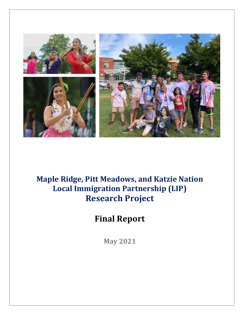

# **Maple Ridge, Pitt Meadows, and Katzie Nation Local Immigration Partnership (LIP) Research Project**

# **Final Report**

**May 2021**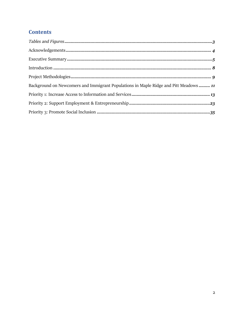# **Contents**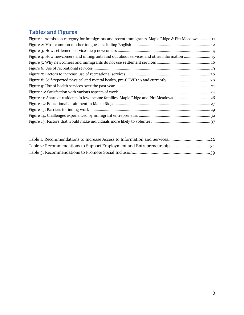# <span id="page-2-0"></span>**Tables and Figures**

| Figure 1: Admission category for immigrants and recent immigrants, Maple Ridge & Pitt Meadows11 |
|-------------------------------------------------------------------------------------------------|
|                                                                                                 |
|                                                                                                 |
| Figure 4: How newcomers and immigrants find out about services and other information            |
|                                                                                                 |
|                                                                                                 |
|                                                                                                 |
|                                                                                                 |
|                                                                                                 |
|                                                                                                 |
| Figure 11: Share of residents in low income families, Maple Ridge and Pitt Meadows 26           |
|                                                                                                 |
|                                                                                                 |
|                                                                                                 |
|                                                                                                 |
|                                                                                                 |

<span id="page-2-1"></span>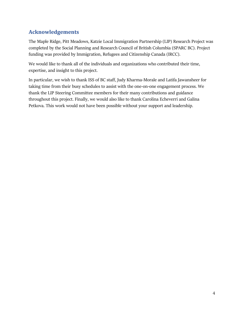# **Acknowledgements**

The Maple Ridge, Pitt Meadows, Katzie Local Immigration Partnership (LIP) Research Project was completed by the Social Planning and Research Council of British Columbia (SPARC BC). Project funding was provided by Immigration, Refugees and Citizenship Canada (IRCC).

We would like to thank all of the individuals and organizations who contributed their time, expertise, and insight to this project.

In particular, we wish to thank ISS of BC staff, Judy Kharma-Morale and Latifa Jawansheer for taking time from their busy schedules to assist with the one-on-one engagement process. We thank the LIP Steering Committee members for their many contributions and guidance throughout this project. Finally, we would also like to thank Carolina Echeverri and Galina Petkova. This work would not have been possible without your support and leadership.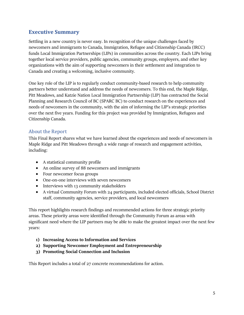# <span id="page-4-0"></span>**Executive Summary**

Settling in a new country is never easy. In recognition of the unique challenges faced by newcomers and immigrants to Canada, Immigration, Refugee and Citizenship Canada (IRCC) funds Local Immigration Partnerships (LIPs) in communities across the country. Each LIPs bring together local service providers, public agencies, community groups, employers, and other key organizations with the aim of supporting newcomers in their settlement and integration to Canada and creating a welcoming, inclusive community.

One key role of the LIP is to regularly conduct community-based research to help community partners better understand and address the needs of newcomers. To this end, the Maple Ridge, Pitt Meadows, and Katzie Nation Local Immigration Partnership (LIP) has contracted the Social Planning and Research Council of BC (SPARC BC) to conduct research on the experiences and needs of newcomers in the community, with the aim of informing the LIP's strategic priorities over the next five years. Funding for this project was provided by Immigration, Refugees and Citizenship Canada.

### About the Report

This Final Report shares what we have learned about the experiences and needs of newcomers in Maple Ridge and Pitt Meadows through a wide range of research and engagement activities, including:

- A statistical community profile
- An online survey of 88 newcomers and immigrants
- Four newcomer focus groups
- One-on-one interviews with seven newcomers
- Interviews with 13 community stakeholders
- A virtual Community Forum with 24 participants, included elected officials, School District staff, community agencies, service providers, and local newcomers

This report highlights research findings and recommended actions for three strategic priority areas. These priority areas were identified through the Community Forum as areas with significant need where the LIP partners may be able to make the greatest impact over the next few years:

- **1) Increasing Access to Information and Services**
- **2) Supporting Newcomer Employment and Entrepreneurship**
- **3) Promoting Social Connection and Inclusion**

This Report includes a total of 27 concrete recommendations for action.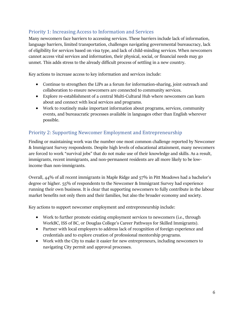## Priority 1: Increasing Access to Information and Services

Many newcomers face barriers to accessing services. These barriers include lack of information, language barriers, limited transportation, challenges navigating governmental bureaucracy, lack of eligibility for services based on visa type, and lack of child-minding services. When newcomers cannot access vital services and information, their physical, social, or financial needs may go unmet. This adds stress to the already difficult process of settling in a new country.

Key actions to increase access to key information and services include:

- Continue to strengthen the LIPs as a forum for information-sharing, joint outreach and collaboration to ensure newcomers are connected to community services.
- Explore re-establishment of a central Multi-Cultural Hub where newcomers can learn about and connect with local services and programs.
- Work to routinely make important information about programs, services, community events, and bureaucratic processes available in languages other than English wherever possible.

## Priority 2: Supporting Newcomer Employment and Entrepreneurship

Finding or maintaining work was the number one most common challenge reported by Newcomer & Immigrant Survey respondents. Despite high levels of educational attainment, many newcomers are forced to work "survival jobs" that do not make use of their knowledge and skills. As a result, immigrants, recent immigrants, and non-permanent residents are all more likely to be lowincome than non-immigrants.

Overall, 44% of all recent immigrants in Maple Ridge and 57% in Pitt Meadows had a bachelor's degree or higher. 55% of respondents to the Newcomer & Immigrant Survey had experience running their own business. It is clear that supporting newcomers to fully contribute in the labour market benefits not only them and their families, but also the broader economy and society.

Key actions to support newcomer employment and entrepreneurship include:

- Work to further promote existing employment services to newcomers (i.e., through WorkBC, ISS of BC, or Douglas College's Career Pathways for Skilled Immigrants).
- Partner with local employers to address lack of recognition of foreign experience and credentials and to explore creation of professional mentorship programs.
- Work with the City to make it easier for new entrepreneurs, including newcomers to navigating City permit and approval processes.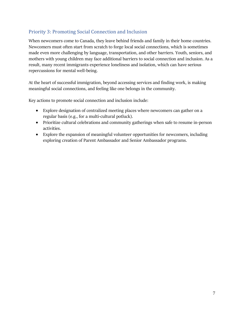## Priority 3: Promoting Social Connection and Inclusion

When newcomers come to Canada, they leave behind friends and family in their home countries. Newcomers must often start from scratch to forge local social connections, which is sometimes made even more challenging by language, transportation, and other barriers. Youth, seniors, and mothers with young children may face additional barriers to social connection and inclusion. As a result, many recent immigrants experience loneliness and isolation, which can have serious repercussions for mental well-being.

At the heart of successful immigration, beyond accessing services and finding work, is making meaningful social connections, and feeling like one belongs in the community.

Key actions to promote social connection and inclusion include:

- Explore designation of centralized meeting places where newcomers can gather on a regular basis (e.g., for a multi-cultural potluck).
- Prioritize cultural celebrations and community gatherings when safe to resume in-person activities.
- Explore the expansion of meaningful volunteer opportunities for newcomers, including exploring creation of Parent Ambassador and Senior Ambassador programs.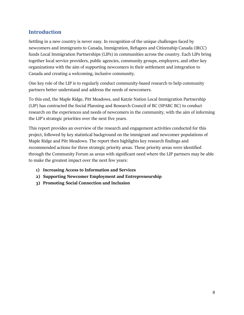# <span id="page-7-0"></span>**Introduction**

Settling in a new country is never easy. In recognition of the unique challenges faced by newcomers and immigrants to Canada, Immigration, Refugees and Citizenship Canada (IRCC) funds Local Immigration Partnerships (LIPs) in communities across the country. Each LIPs bring together local service providers, public agencies, community groups, employers, and other key organizations with the aim of supporting newcomers in their settlement and integration to Canada and creating a welcoming, inclusive community.

One key role of the LIP is to regularly conduct community-based research to help community partners better understand and address the needs of newcomers.

To this end, the Maple Ridge, Pitt Meadows, and Katzie Nation Local Immigration Partnership (LIP) has contracted the Social Planning and Research Council of BC (SPARC BC) to conduct research on the experiences and needs of newcomers in the community, with the aim of informing the LIP's strategic priorities over the next five years.

This report provides an overview of the research and engagement activities conducted for this project, followed by key statistical background on the immigrant and newcomer populations of Maple Ridge and Pitt Meadows. The report then highlights key research findings and recommended actions for three strategic priority areas. These priority areas were identified through the Community Forum as areas with significant need where the LIP partners may be able to make the greatest impact over the next few years:

- **1) Increasing Access to Information and Services**
- **2) Supporting Newcomer Employment and Entrepreneurship**
- **3) Promoting Social Connection and Inclusion**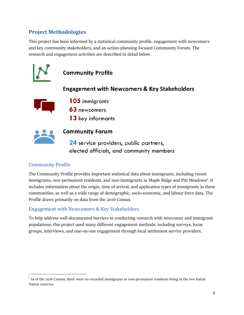# <span id="page-8-0"></span>**Project Methodologies**

This project has been informed by a statistical community profile, engagement with newcomers and key community stakeholders, and an action-planning focused Community Forum. The research and engagement activities are described in detail below.



# Community Profile

The Community Profile provides important statistical data about immigrants, including recent immigrants, non-permanent residents, and non-immigrants in Maple Ridge and Pitt Meadows<sup>[1](#page-8-1)</sup>. It includes information about the origin, time of arrival, and application types of immigrants in these communities, as well as a wide range of demographic, socio-economic, and labour force data. The Profile draws primarily on data from the 2016 Census.

## Engagement with Newcomers & Key Stakeholders

To help address well-documented barriers to conducting research with newcomer and immigrant populations, this project used many different engagement methods, including surveys, focus groups, interviews, and one-on-one engagement through local settlement service providers.

<span id="page-8-1"></span><sup>1</sup> As of the 2016 Census, there were no recorded immigrants or non-permanent residents living in the two Katzie Nation reserves.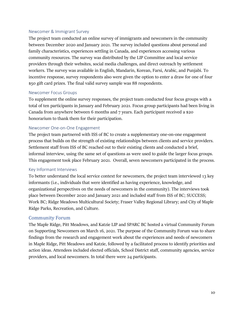#### Newcomer & Immigrant Survey

The project team conducted an online survey of immigrants and newcomers in the community between December 2020 and January 2021. The survey included questions about personal and family characteristics, experiences settling in Canada, and experiences accessing various community resources. The survey was distributed by the LIP Committee and local service providers through their websites, social media challenges, and direct outreach by settlement workers. The survey was available in English, Mandarin, Korean, Farsi, Arabic, and Punjabi. To incentive response, survey respondents also were given the option to enter a draw for one of four \$50 gift card prizes. The final valid survey sample was 88 respondents.

#### Newcomer Focus Groups

To supplement the online survey responses, the project team conducted four focus groups with a total of ten participants in January and February 2021. Focus group participants had been living in Canada from anywhere between 6 months and 7 years. Each participant received a \$20 honorarium to thank them for their participation.

#### Newcomer One-on-One Engagement

The project team partnered with ISS of BC to create a supplementary one-on-one engagement process that builds on the strength of existing relationships between clients and service providers. Settlement staff from ISS of BC reached out to their existing clients and conducted a brief, informal interview, using the same set of questions as were used to guide the larger focus groups. This engagement took place February 2021. Overall, seven newcomers participated in the process.

#### Key Informant Interviews

To better understand the local service context for newcomers, the project team interviewed 13 key informants (i.e., individuals that were identified as having experience, knowledge, and organizational perspectives on the needs of newcomers in the community). The interviews took place between December 2020 and January 2021 and included staff from ISS of BC; SUCCESS; Work BC; Ridge Meadows Multicultural Society; Fraser Valley Regional Library; and City of Maple Ridge Parks, Recreation, and Culture.

#### Community Forum

The Maple Ridge, Pitt Meadows, and Katzie LIP and SPARC BC hosted a virtual Community Forum on Supporting Newcomers on March 16, 2021. The purpose of the Community Forum was to share findings from the research and engagement work about the experiences and needs of newcomers in Maple Ridge, Pitt Meadows and Katzie, followed by a facilitated process to identify priorities and action ideas. Attendees included elected officials, School District staff, community agencies, service providers, and local newcomers. In total there were 24 participants.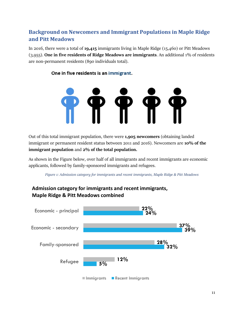# <span id="page-10-0"></span>**Background on Newcomers and Immigrant Populations in Maple Ridge and Pitt Meadows**

In 2016, there were a total of **19,415** immigrants living in Maple Ridge (15,460) or Pitt Meadows (3,955). **One in five residents of Ridge Meadows are immigrants**. An additional 1% of residents are non-permanent residents (890 individuals total).

### One in five residents is an immigrant.



Out of this total immigrant population, there were **1,905 newcomers** (obtaining landed immigrant or permanent resident status between 2011 and 2016). Newcomers are **10% of the immigrant population** and **2% of the total population.**

As shown in the Figure below, over half of all immigrants and recent immigrants are economic applicants, followed by family-sponsored immigrants and refugees.

*Figure 1: Admission category for immigrants and recent immigrants, Maple Ridge & Pitt Meadows*

# <span id="page-10-1"></span>**Admission category for immigrants and recent immigrants, Maple Ridge & Pitt Meadows combined**

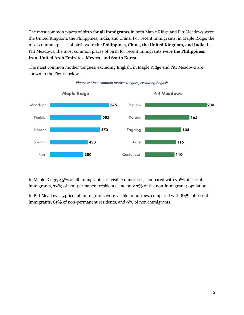The most common places of birth for **all immigrants** in both Maple Ridge and Pitt Meadows were the United Kingdom, the Philippines, India, and China. For recent immigrants, in Maple Ridge, the most common places of birth were **the Philippines, China, the United Kingdom, and India.** In Pitt Meadows, the most common places of birth for recent immigrants **were the Philippines, Iran, United Arab Emirates, Mexico, and South Korea.**

The most common mother tongues, excluding English, in Maple Ridge and Pitt Meadows are shown in the Figure below.

<span id="page-11-0"></span>

*Figure 2: Most common mother tongues, excluding English*

In Maple Ridge, **45%** of all immigrants are visible minorities, compared with **70%** of recent immigrants, **72%** of non-permanent residents, and only **7%** of the non-immigrant population.

In Pitt Meadows, **54%** of all immigrants were visible minorities, compared with **84%** of recent immigrants, **61%** of non-permanent residents, and **9%** of non-immigrants.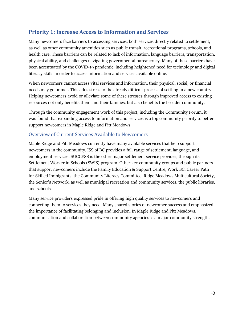# <span id="page-12-0"></span>**Priority 1: Increase Access to Information and Services**

Many newcomers face barriers to accessing services, both services directly related to settlement, as well as other community amenities such as public transit, recreational programs, schools, and health care. These barriers can be related to lack of information, language barriers, transportation, physical ability, and challenges navigating governmental bureaucracy. Many of these barriers have been accentuated by the COVID-19 pandemic, including heightened need for technology and digital literacy skills in order to access information and services available online.

When newcomers cannot access vital services and information, their physical, social, or financial needs may go unmet. This adds stress to the already difficult process of settling in a new country. Helping newcomers avoid or alleviate some of these stresses through improved access to existing resources not only benefits them and their families, but also benefits the broader community.

Through the community engagement work of this project, including the Community Forum, it was found that expanding access to information and services is a top community priority to better support newcomers in Maple Ridge and Pitt Meadows.

### Overview of Current Services Available to Newcomers

Maple Ridge and Pitt Meadows currently have many available services that help support newcomers in the community. ISS of BC provides a full range of settlement, language, and employment services. SUCCESS is the other major settlement service provider, through its Settlement Worker in Schools (SWIS) program. Other key community groups and public partners that support newcomers include the Family Education & Support Centre, Work BC, Career Path for Skilled Immigrants, the Community Literacy Committee, Ridge Meadows Multicultural Society, the Senior's Network, as well as municipal recreation and community services, the public libraries, and schools.

Many service providers expressed pride in offering high quality services to newcomers and connecting them to services they need. Many shared stories of newcomer success and emphasized the importance of facilitating belonging and inclusion. In Maple Ridge and Pitt Meadows, communication and collaboration between community agencies is a major community strength.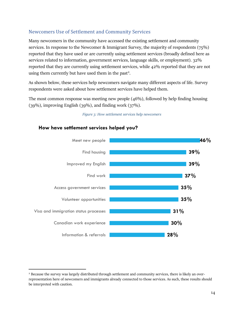## Newcomers Use of Settlement and Community Services

**How have settlement services helped you?**

Many newcomers in the community have accessed the existing settlement and community services. In response to the Newcomer & Immigrant Survey, the majority of respondents (75%) reported that they have used or are currently using settlement services (broadly defined here as services related to information, government services, language skills, or employment). 32% reported that they are currently using settlement services, while 42% reported that they are not using them currently but have used them in the past<sup>[2](#page-13-1)</sup>.

As shown below, these services help newcomers navigate many different aspects of life. Survey respondents were asked about how settlement services have helped them.

<span id="page-13-0"></span>The most common response was meeting new people (46%), followed by help finding housing (39%), improving English (39%), and finding work (37%).



# *Figure 3: How settlement services help newcomers*

<span id="page-13-1"></span><sup>&</sup>lt;sup>2</sup> Because the survey was largely distributed through settlement and community services, there is likely an overrepresentation here of newcomers and immigrants already connected to those services. As such, these results should be interpreted with caution.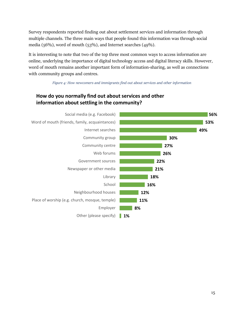Survey respondents reported finding out about settlement services and information through multiple channels. The three main ways that people found this information was through social media (56%), word of mouth (53%), and Internet searches (49%).

It is interesting to note that two of the top three most common ways to access information are online, underlying the importance of digital technology access and digital literacy skills. However, word of mouth remains another important form of information-sharing, as well as connections with community groups and centres.

*Figure 4: How newcomers and immigrants find out about services and other information*

## <span id="page-14-0"></span>**How do you normally find out about services and other information about settling in the community?**

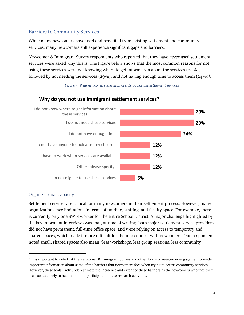## Barriers to Community Services

While many newcomers have used and benefited from existing settlement and community services, many newcomers still experience significant gaps and barriers.

Newcomer & Immigrant Survey respondents who reported that they have *never* used settlement services were asked why this is. The Figure below shows that the most common reasons for not using these services were not knowing where to get information about the services (29%), followed by not needing the services (29%), and not having enough time to access them  $(24\%)$ <sup>[3](#page-15-1)</sup>.

*Figure 5: Why newcomers and immigrants do not use settlement services*



### <span id="page-15-0"></span>**Why do you not use immigrant settlement services?**

#### Organizational Capacity

Settlement services are critical for many newcomers in their settlement process. However, many organizations face limitations in terms of funding, staffing, and facility space. For example, there is currently only one SWIS worker for the entire School District. A major challenge highlighted by the key informant interviews was that, at time of writing, both major settlement service providers did not have permanent, full-time office space, and were relying on access to temporary and shared spaces, which made it more difficult for them to connect with newcomers. One respondent noted small, shared spaces also mean "less workshops, less group sessions, less community

<span id="page-15-1"></span><sup>3</sup> It is important to note that the Newcomer & Immigrant Survey and other forms of newcomer engagement provide important information about some of the barriers that newcomers face when trying to access community services. However, these tools likely underestimate the incidence and extent of these barriers as the newcomers who face them are also less likely to hear about and participate in these research activities.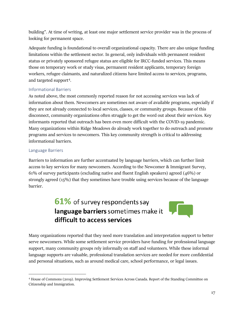building". At time of writing, at least one major settlement service provider was in the process of looking for permanent space.

Adequate funding is foundational to overall organizational capacity. There are also unique funding limitations within the settlement sector. In general, only individuals with permanent resident status or privately sponsored refugee status are eligible for IRCC-funded services. This means those on temporary work or study visas, permanent resident applicants, temporary foreign workers, refugee claimants, and naturalized citizens have limited access to services, programs, and targeted support[4](#page-16-0).

#### Informational Barriers

As noted above, the most commonly reported reason for not accessing services was lack of information about them. Newcomers are sometimes not aware of available programs, especially if they are not already connected to local services, classes, or community groups. Because of this disconnect, community organizations often struggle to get the word out about their services. Key informants reported that outreach has been even more difficult with the COVID-19 pandemic. Many organizations within Ridge Meadows do already work together to do outreach and promote programs and services to newcomers. This key community strength is critical to addressing informational barriers.

#### Language Barriers

Barriers to information are further accentuated by language barriers, which can further limit access to key services for many newcomers. According to the Newcomer & Immigrant Survey, 61% of survey participants (excluding native and fluent English speakers) agreed (46%) or strongly agreed (15%) that they sometimes have trouble using services because of the language barrier.

# 61% of survey respondents say language barriers sometimes make it difficult to access services

Many organizations reported that they need more translation and interpretation support to better serve newcomers. While some settlement service providers have funding for professional language support, many community groups rely informally on staff and volunteers. While these informal language supports are valuable, professional translation services are needed for more confidential and personal situations, such as around medical care, school performance, or legal issues.

<span id="page-16-0"></span><sup>4</sup> House of Commons (2019). Improving Settlement Services Across Canada. Report of the Standing Committee on Citizenship and Immigration.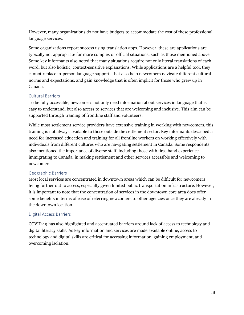However, many organizations do not have budgets to accommodate the cost of these professional language services.

Some organizations report success using translation apps. However, these are applications are typically not appropriate for more complex or official situations, such as those mentioned above. Some key informants also noted that many situations require not only literal translations of each word, but also holistic, context-sensitive explanations. While applications are a helpful tool, they cannot replace in-person language supports that also help newcomers navigate different cultural norms and expectations, and gain knowledge that is often implicit for those who grew up in Canada.

#### Cultural Barriers

To be fully accessible, newcomers not only need information about services in language that is easy to understand, but also access to services that are welcoming and inclusive. This aim can be supported through training of frontline staff and volunteers.

While most settlement service providers have extensive training in working with newcomers, this training is not always available to those outside the settlement sector. Key informants described a need for increased education and training for all frontline workers on working effectively with individuals from different cultures who are navigating settlement in Canada. Some respondents also mentioned the importance of diverse staff, including those with first-hand experience immigrating to Canada, in making settlement and other services accessible and welcoming to newcomers.

#### Geographic Barriers

Most local services are concentrated in downtown areas which can be difficult for newcomers living further out to access, especially given limited public transportation infrastructure. However, it is important to note that the concentration of services in the downtown core area does offer some benefits in terms of ease of referring newcomers to other agencies once they are already in the downtown location.

#### Digital Access Barriers

COVID-19 has also highlighted and accentuated barriers around lack of access to technology and digital literacy skills. As key information and services are made available online, access to technology and digital skills are critical for accessing information, gaining employment, and overcoming isolation.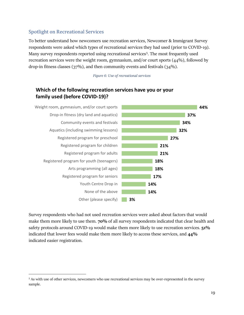### Spotlight on Recreational Services

To better understand how newcomers use recreation services, Newcomer & Immigrant Survey respondents were asked which types of recreational services they had used (prior to COVID-19). Many survey respondents reported using recreational services<sup>[5](#page-18-1)</sup>. The most frequently used recreation services were the weight room, gymnasium, and/or court sports (44%), followed by drop-in fitness classes (37%), and then community events and festivals (34%).

*Figure 6: Use of recreational services*

## <span id="page-18-0"></span>**Which of the following recreation services have you or your family used (before COVID-19)?**



Survey respondents who had not used recreation services were asked about factors that would make them more likely to use them. **70%** of all survey respondents indicated that clear health and safety protocols around COVID-19 would make them more likely to use recreation services. **51%** indicated that lower fees would make them more likely to access these services, and **44%** indicated easier registration.

<span id="page-18-1"></span><sup>5</sup> As with use of other services, newcomers who use recreational services may be over-represented in the survey sample.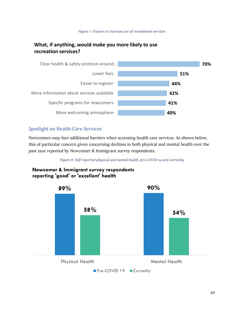

# <span id="page-19-0"></span>**What, if anything, would make you more likely to use recreation services?**



### Spotlight on Health Care Services

Newcomers may face additional barriers when accessing health care services. As shown below, this of particular concern given concerning declines in both physical and mental health over the past year reported by Newcomer & Immigrant survey respondents.

*Figure 8: Self-reported physical and mental health, pre-COVID 19 and currently*

## <span id="page-19-1"></span>**Newcomer & Immigrant survey respondents reporting 'good' or 'excellent' health**

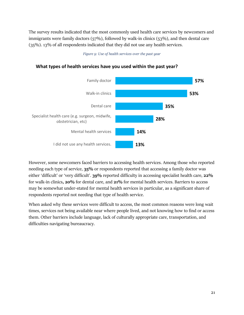The survey results indicated that the most commonly used health care services by newcomers and immigrants were family doctors (57%), followed by walk-in clinics (53%), and then dental care (35%). 13% of all respondents indicated that they did not use any health services.

#### *Figure 9: Use of health services over the past year*



#### <span id="page-20-0"></span>**What types of health services have you used within the past year?**

However, some newcomers faced barriers to accessing health services. Among those who reported needing each type of service, **35%** or respondents reported that accessing a family doctor was either 'difficult' or 'very difficult'. **39%** reported difficulty in accessing specialist health care, **22%** for walk-in clinics**, 20%** for dental care, and **21%** for mental health services. Barriers to access may be somewhat under-stated for mental health services in particular, as a significant share of respondents reported not needing that type of health service.

When asked why these services were difficult to access, the most common reasons were long wait times, services not being available near where people lived, and not knowing how to find or access them. Other barriers include language, lack of culturally appropriate care, transportation, and difficulties navigating bureaucracy.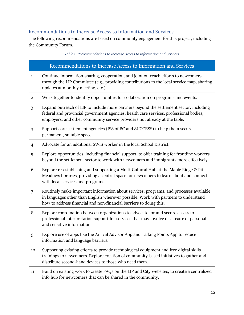## Recommendations to Increase Access to Information and Services

The following recommendations are based on community engagement for this project, including the Community Forum.

*Table 1: Recommendations to Increase Access to Information and Services*

<span id="page-21-0"></span>

| Recommendations to Increase Access to Information and Services |                                                                                                                                                                                                                                                                 |  |
|----------------------------------------------------------------|-----------------------------------------------------------------------------------------------------------------------------------------------------------------------------------------------------------------------------------------------------------------|--|
| $\mathbf{1}$                                                   | Continue information-sharing, cooperation, and joint outreach efforts to newcomers<br>through the LIP Committee (e.g., providing contributions to the local service map, sharing<br>updates at monthly meeting, etc.)                                           |  |
| $\overline{a}$                                                 | Work together to identify opportunities for collaboration on programs and events.                                                                                                                                                                               |  |
| 3                                                              | Expand outreach of LIP to include more partners beyond the settlement sector, including<br>federal and provincial government agencies, health care services, professional bodies,<br>employers, and other community service providers not already at the table. |  |
| 3                                                              | Support core settlement agencies (ISS of BC and SUCCESS) to help them secure<br>permanent, suitable space.                                                                                                                                                      |  |
| $\overline{4}$                                                 | Advocate for an additional SWIS worker in the local School District.                                                                                                                                                                                            |  |
| 5                                                              | Explore opportunities, including financial support, to offer training for frontline workers<br>beyond the settlement sector to work with newcomers and immigrants more effectively.                                                                             |  |
| 6                                                              | Explore re-establishing and supporting a Multi-Cultural Hub at the Maple Ridge & Pitt<br>Meadows libraries, providing a central space for newcomers to learn about and connect<br>with local services and programs.                                             |  |
| $\overline{7}$                                                 | Routinely make important information about services, programs, and processes available<br>in languages other than English wherever possible. Work with partners to understand<br>how to address financial and non-financial barriers to doing this.             |  |
| 8                                                              | Explore coordination between organizations to advocate for and secure access to<br>professional interpretation support for services that may involve disclosure of personal<br>and sensitive information.                                                       |  |
| 9                                                              | Explore use of apps like the Arrival Advisor App and Talking Points App to reduce<br>information and language barriers.                                                                                                                                         |  |
| 10                                                             | Supporting existing efforts to provide technological equipment and free digital skills<br>trainings to newcomers. Explore creation of community-based initiatives to gather and<br>distribute second-hand devices to those who need them.                       |  |
| 11                                                             | Build on existing work to create FAQs on the LIP and City websites, to create a centralized<br>info hub for newcomers that can be shared in the community.                                                                                                      |  |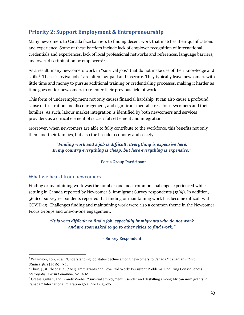# <span id="page-22-0"></span>**Priority 2: Support Employment & Entrepreneurship**

Many newcomers to Canada face barriers to finding decent work that matches their qualifications and experience. Some of these barriers include lack of employer recognition of international credentials and experiences, lack of local professional networks and references, language barriers, and overt discrimination by employers<sup>[6](#page-22-1)[7](#page-22-2)</sup>.

As a result, many newcomers work in "survival jobs" that do not make use of their knowledge and skills<sup>8</sup>. These "survival jobs" are often low-paid and insecure. They typically leave newcomers with little time and money to pursue additional training or credentialing processes, making it harder as time goes on for newcomers to re-enter their previous field of work.

This form of underemployment not only causes financial hardship. It can also cause a profound sense of frustration and discouragement, and significant mental stress for newcomers and their families. As such, labour market integration is identified by both newcomers and services providers as a critical element of successful settlement and integration.

Moreover, when newcomers are able to fully contribute to the workforce, this benefits not only them and their families, but also the broader economy and society.

> *"Finding work and a job is difficult. Everything is expensive here. In my country everything is cheap, but here everything is expensive."*

#### **– Focus Group Participant**

#### What we heard from newcomers

Finding or maintaining work was the number one most common challenge experienced while settling in Canada reported by Newcomer & Immigrant Survey respondents (**51%**). In addition, **56%** of survey respondents reported that finding or maintaining work has become difficult with COVID-19. Challenges finding and maintaining work were also a common theme in the Newcomer Focus Groups and one-on-one engagement.

> *"It is very difficult to find a job, especially immigrants who do not work and are soon asked to go to other cities to find work."*

#### **– Survey Respondent**

<span id="page-22-1"></span><sup>6</sup> Wilkinson, Lori, et al. "Understanding job status decline among newcomers to Canada." *Canadian Ethnic Studies* 48.3 (2016): 5-26.

<span id="page-22-2"></span><sup>7</sup> Chun, J., & Cheong, A. (2011). Immigrants and Low-Paid Work: Persistent Problems, Enduring Consequences. *Metropolis British Columbia, No.11-20.*

<span id="page-22-3"></span><sup>8</sup> Creese, Gillian, and Brandy Wiebe. "'Survival employment': Gender and deskilling among African immigrants in Canada." International migration 50.5 (2012): 56-76.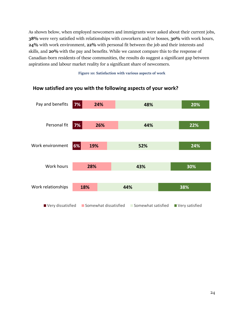As shown below, when employed newcomers and immigrants were asked about their current jobs, **38%** were very satisfied with relationships with coworkers and/or bosses, **30%** with work hours, **24%** with work environment, **22%** with personal fit between the job and their interests and skills, and **20%** with the pay and benefits. While we cannot compare this to the response of Canadian-born residents of these communities, the results do suggest a significant gap between aspirations and labour market reality for a significant share of newcomers.

**Figure 10: Satisfaction with various aspects of work**



#### <span id="page-23-0"></span>**How satisfied are you with the following aspects of your work?**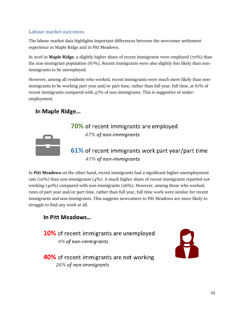## Labour market outcomes

The labour market data highlights important differences between the newcomer settlement experience in Maple Ridge and in Pitt Meadows.

In 2016 in **Maple Ridge**, a slightly higher share of recent immigrants were employed (70%) than the non-immigrant population (67%). Recent immigrants were also slightly *less* likely than nonimmigrants to be unemployed.

However, among all residents who worked, recent immigrants were much more likely than nonimmigrants to be working part year and/or part time, rather than full year, full time, at 61% of recent immigrants compared with 47% of non-immigrants. This is suggestive of underemployment.

# In Maple Ridge...

# 70% of recent immigrants are employed 67% of non-immigrants



# 61% of recent immigrants work part year/part time 47% of non-immigrants

In **Pitt Meadows** on the other hand, recent immigrants had a significant higher unemployment rate (10%) than non-immigrants (4%). A much higher share of recent immigrants reported not working (40%) compared with non-immigrants (26%). However, among those who worked, rates of part year and/or part time, rather than full year, full time work were similar for recent immigrants and non-immigrants. This suggests newcomers to Pitt Meadows are more likely to struggle to find any work at all.

# In Pitt Meadows...

10% of recent immigrants are unemployed 4% of non-immigrants



40% of recent immigrants are not working 26% of non-immigrants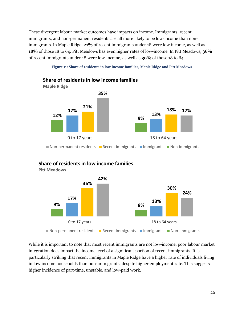These divergent labour market outcomes have impacts on income. Immigrants, recent immigrants, and non-permanent residents are all more likely to be low-income than nonimmigrants. In Maple Ridge**, 21%** of recent immigrants under 18 were low income, as well as **18%** of those 18 to 64. Pitt Meadows has even higher rates of low-income. In Pitt Meadows, **36%** of recent immigrants under 18 were low-income, as well as **30%** of those 18 to 64.

**Figure 11: Share of residents in low income families, Maple Ridge and Pitt Meadows**

<span id="page-25-0"></span>

### **Share of residents in low income families**



**Pitt Meadows**

While it is important to note that most recent immigrants are not low-income, poor labour market integration does impact the income level of a significant portion of recent immigrants. It is particularly striking that recent immigrants in Maple Ridge have a higher rate of individuals living in low income households than non-immigrants, despite higher employment rate. This suggests higher incidence of part-time, unstable, and low-paid work.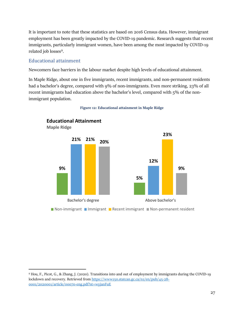It is important to note that these statistics are based on 2016 Census data. However, immigrant employment has been greatly impacted by the COVID-19 pandemic. Research suggests that recent immigrants, particularly immigrant women, have been among the most impacted by COVID-19 related job losses<sup>9</sup>.

#### Educational attainment

Newcomers face barriers in the labour market despite high levels of educational attainment.

In Maple Ridge, about one in five immigrants, recent immigrants, and non-permanent residents had a bachelor's degree, compared with 9% of non-immigrants. Even more striking, 23% of all recent immigrants had education above the bachelor's level, compared with 5% of the nonimmigrant population.

<span id="page-26-0"></span>

**Figure 12: Educational attainment in Maple Ridge**

<sup>■</sup> Non-immigrant ■ Immigrant ■ Recent immigrant ■ Non-permanent resident

<span id="page-26-1"></span><sup>9</sup> Hou, F., Picot, G., & Zhang, J. (2020). Transitions into and out of employment by immigrants during the COVID-19 lockdown and recovery. Retrieved from [https://www150.statcan.gc.ca/n1/en/pub/45-28-](https://www150.statcan.gc.ca/n1/en/pub/45-28-0001/2020001/article/00070-eng.pdf?st=wyjanFuE) [0001/2020001/article/00070-eng.pdf?st=wyjanFuE](https://www150.statcan.gc.ca/n1/en/pub/45-28-0001/2020001/article/00070-eng.pdf?st=wyjanFuE)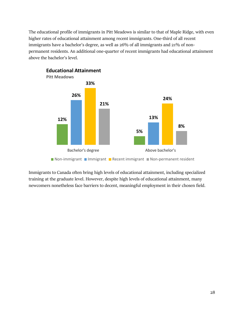The educational profile of immigrants in Pitt Meadows is similar to that of Maple Ridge, with even higher rates of educational attainment among recent immigrants. One-third of all recent immigrants have a bachelor's degree, as well as 26% of all immigrants and 21% of nonpermanent residents. An additional one-quarter of recent immigrants had educational attainment above the bachelor's level.



Immigrants to Canada often bring high levels of educational attainment, including specialized training at the graduate level. However, despite high levels of educational attainment, many newcomers nonetheless face barriers to decent, meaningful employment in their chosen field.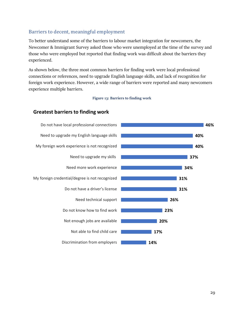### Barriers to decent, meaningful employment

To better understand some of the barriers to labour market integration for newcomers, the Newcomer & Immigrant Survey asked those who were unemployed at the time of the survey and those who were employed but reported that finding work was difficult about the barriers they experienced.

As shown below, the three most common barriers for finding work were local professional connections or references, need to upgrade English language skills, and lack of recognition for foreign work experience. However, a wide range of barriers were reported and many newcomers experience multiple barriers.

#### **Figure 13: Barriers to finding work**

#### <span id="page-28-0"></span>**Greatest barriers to finding work**

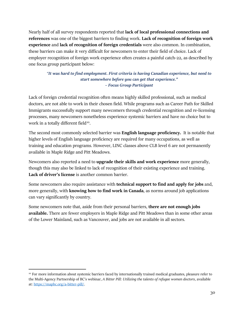Nearly half of all survey respondents reported that **lack of local professional connections and references** was one of the biggest barriers to finding work. **Lack of recognition of foreign work experience** and **lack of recognition of foreign credentials** were also common. In combination, these barriers can make it very difficult for newcomers to enter their field of choice. Lack of employer recognition of foreign work experience often creates a painful catch-22, as described by one focus group participant below:

*"It was hard to find employment. First criteria is having Canadian experience, but need to start somewhere before you can get that experience." – Focus Group Participant*

Lack of foreign credential recognition often means highly skilled professional, such as medical doctors, are not able to work in their chosen field. While programs such as Career Path for Skilled Immigrants successfully support many newcomers through credential recognition and re-licensing processes, many newcomers nonetheless experience systemic barriers and have no choice but to work in a totally different field<sup>10</sup>.

The second most commonly selected barrier was **English language proficiency.** It is notable that higher levels of English language proficiency are required for many occupations, as well as training and education programs. However, LINC classes above CLB level 6 are not permanently available in Maple Ridge and Pitt Meadows.

Newcomers also reported a need to **upgrade their skills and work experience** more generally, though this may also be linked to lack of recognition of their existing experience and training. **Lack of driver's license** is another common barrier.

Some newcomers also require assistance with **technical support to find and apply for jobs** and, more generally, with **knowing how to find work in Canada**, as norms around job applications can vary significantly by country.

Some newcomers note that, aside from their personal barriers, **there are not enough jobs available.** There are fewer employers in Maple Ridge and Pitt Meadows than in some other areas of the Lower Mainland, such as Vancouver, and jobs are not available in all sectors.

<span id="page-29-0"></span><sup>&</sup>lt;sup>10</sup> For more information about systemic barriers faced by internationally trained medical graduates, pleasure refer to the Multi-Agency Partnership of BC's webinar, *A Bitter Pill: Utilizing the talents of refugee women doctors*, available at[: https://mapbc.org/a-bitter-pill/.](https://mapbc.org/a-bitter-pill/)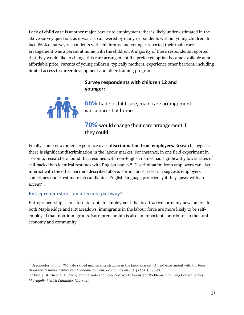**Lack of child care** is another major barrier to employment, that is likely under-estimated in the above survey question, as it was also answered by many respondents without young children. In fact, 66% of survey respondents with children 12 and younger reported their main care arrangement was a parent at home with the children. A majority of these respondents reported that they would like to change this care arrangement if a preferred option became available at an affordable price. Parents of young children, typically mothers, experience other barriers, including limited access to career development and other training programs.

## Survey respondents with children 12 and younger:



66% had no child care, main care arrangement was a parent at home

70% would change their care arrangement if they could

Finally, some newcomers experience overt **discrimination from employers.** Research suggests there is significant discrimination in the labour market. For instance, in one field experiment in Toronto, researchers found that resumes with non-English names had significantly lower rates of call-backs than identical resumes with English names<sup>11</sup>. Discrimination from employers can also interact with the other barriers described above. For instance, research suggests employers sometimes under-estimate job candidates' English language proficiency if they speak with an  $accelt<sup>12</sup>$ .

### Entrepreneurship – an alternate pathway?

Entrepreneurship is an alternate route to employment that is attractive for many newcomers. In both Maple Ridge and Pitt Meadows, immigrants in the labour force are more likely to be selfemployed than non-immigrants. Entrepreneurship is also an important contributor to the local economy and community.

<span id="page-30-0"></span><sup>11</sup> Oreopoulos, Philip. "Why do skilled immigrants struggle in the labor market? A field experiment with thirteen thousand resumes." *American Economic Journal: Economic Policy* 3.4 (2011): 148-71.

<span id="page-30-1"></span><sup>&</sup>lt;sup>12</sup> Chun, J., & Cheong, A. (2011). Immigrants and Low-Paid Work: Persistent Problems, Enduring Consequences. *Metropolis British Columbia, No.11-20.*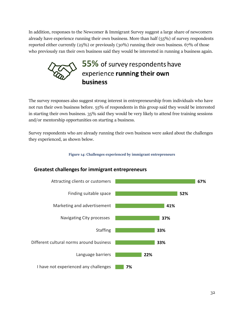In addition, responses to the Newcomer & Immigrant Survey suggest a large share of newcomers already have experience running their own business. More than half (55%) of survey respondents reported either currently (25%) or previously (30%) running their own business. 67% of those who previously ran their own business said they would be interested in running a business again.



The survey responses also suggest strong interest in entrepreneurship from individuals who have not run their own business before. 55% of respondents in this group said they would be interested in starting their own business. 35% said they would be very likely to attend free training sessions and/or mentorship opportunities on starting a business.

Survey respondents who are already running their own business were asked about the challenges they experienced, as shown below.

**Figure 14: Challenges experienced by immigrant entrepreneurs**



### <span id="page-31-0"></span>**Greatest challenges for immigrant entrepreneurs**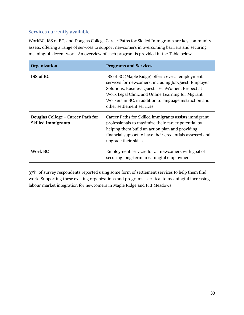## Services currently available

WorkBC, ISS of BC, and Douglas College Career Paths for Skilled Immigrants are key community assets, offering a range of services to support newcomers in overcoming barriers and securing meaningful, decent work. An overview of each program is provided in the Table below.

| Organization                                                   | <b>Programs and Services</b>                                                                                                                                                                                                                                                                               |
|----------------------------------------------------------------|------------------------------------------------------------------------------------------------------------------------------------------------------------------------------------------------------------------------------------------------------------------------------------------------------------|
| <b>ISS of BC</b>                                               | ISS of BC (Maple Ridge) offers several employment<br>services for newcomers, including JobQuest, Employer<br>Solutions, Business Quest, TechWomen, Respect at<br>Work Legal Clinic and Online Learning for Migrant<br>Workers in BC, in addition to language instruction and<br>other settlement services. |
| Douglas College - Career Path for<br><b>Skilled Immigrants</b> | Career Paths for Skilled immigrants assists immigrant<br>professionals to maximize their career potential by<br>helping them build an action plan and providing<br>financial support to have their credentials assessed and<br>upgrade their skills.                                                       |
| <b>Work BC</b>                                                 | Employment services for all newcomers with goal of<br>securing long-term, meaningful employment                                                                                                                                                                                                            |

37% of survey respondents reported using some form of settlement services to help them find work. Supporting these existing organizations and programs is critical to meaningful increasing labour market integration for newcomers in Maple Ridge and Pitt Meadows.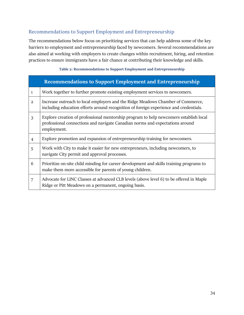## Recommendations to Support Employment and Entrepreneurship

The recommendations below focus on prioritizing services that can help address some of the key barriers to employment and entrepreneurship faced by newcomers. Several recommendations are also aimed at working with employers to create changes within recruitment, hiring, and retention practices to ensure immigrants have a fair chance at contributing their knowledge and skills.

#### **Table 2: Recommendations to Support Employment and Entrepreneurship**

<span id="page-33-0"></span>

|                | <b>Recommendations to Support Employment and Entrepreneurship</b>                                                                                                                    |
|----------------|--------------------------------------------------------------------------------------------------------------------------------------------------------------------------------------|
| $\mathbf{1}$   | Work together to further promote existing employment services to newcomers.                                                                                                          |
| $\overline{a}$ | Increase outreach to local employers and the Ridge Meadows Chamber of Commerce,<br>including education efforts around recognition of foreign experience and credentials.             |
| 3              | Explore creation of professional mentorship program to help newcomers establish local<br>professional connections and navigate Canadian norms and expectations around<br>employment. |
| 4              | Explore promotion and expansion of entrepreneurship training for newcomers.                                                                                                          |
| 5              | Work with City to make it easier for new entrepreneurs, including newcomers, to<br>navigate City permit and approval processes.                                                      |
| 6              | Prioritize on-site child minding for career development and skills training programs to<br>make them more accessible for parents of young children.                                  |
| 7              | Advocate for LINC Classes at advanced CLB levels (above level 6) to be offered in Maple<br>Ridge or Pitt Meadows on a permanent, ongoing basis.                                      |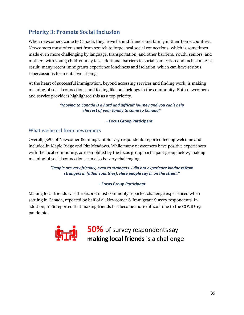# <span id="page-34-0"></span>**Priority 3: Promote Social Inclusion**

When newcomers come to Canada, they leave behind friends and family in their home countries. Newcomers must often start from scratch to forge local social connections, which is sometimes made even more challenging by language, transportation, and other barriers. Youth, seniors, and mothers with young children may face additional barriers to social connection and inclusion. As a result, many recent immigrants experience loneliness and isolation, which can have serious repercussions for mental well-being.

At the heart of successful immigration, beyond accessing services and finding work, is making meaningful social connections, and feeling like one belongs in the community. Both newcomers and service providers highlighted this as a top priority.

> *"Moving to Canada is a hard and difficult journey and you can't help the rest of your family to come to Canada"*

#### **– Focus Group Participant**

### What we heard from newcomers

Overall, 72% of Newcomer & Immigrant Survey respondents reported feeling welcome and included in Maple Ridge and Pitt Meadows. While many newcomers have positive experiences with the local community, as exemplified by the focus group participant group below, making meaningful social connections can also be very challenging.

> *"People are very friendly, even to strangers. I did not experience kindness from strangers in [other countries]. Here people say hi on the street."*

#### **– Focus Group** *Participant*

Making local friends was the second most commonly reported challenge experienced when settling in Canada, reported by half of all Newcomer & Immigrant Survey respondents. In addition, 61% reported that making friends has become more difficult due to the COVID-19 pandemic.



50% of survey respondents say making local friends is a challenge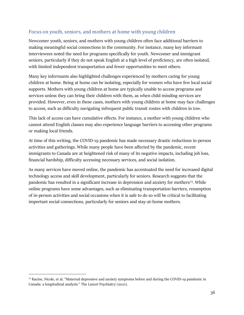### Focus on youth, seniors, and mothers at home with young children

Newcomer youth, seniors, and mothers with young children often face additional barriers to making meaningful social connections in the community. For instance, many key informant interviewees noted the need for programs specifically for youth. Newcomer and immigrant seniors, particularly if they do not speak English at a high level of proficiency, are often isolated, with limited independent transportation and fewer opportunities to meet others.

Many key informants also highlighted challenges experienced by mothers caring for young children at home. Being at home can be isolating, especially for women who have few local social supports. Mothers with young children at home are typically unable to access programs and services unless they can bring their children with them, as when child minding services are provided. However, even in these cases, mothers with young children at home may face challenges to access, such as difficulty navigating infrequent public transit routes with children in tow.

This lack of access can have cumulative effects. For instance, a mother with young children who cannot attend English classes may also experience language barriers to accessing other programs or making local friends.

At time of this writing, the COVID-19 pandemic has made necessary drastic reductions in-person activities and gatherings. While many people have been affected by the pandemic, recent immigrants to Canada are at heightened risk of many of its negative impacts, including job loss, financial hardship, difficulty accessing necessary services, and social isolation.

As many services have moved online, the pandemic has accentuated the need for increased digital technology access and skill development, particularly for seniors. Research suggests that the pandemic has resulted in a significant increase in depression and anxiety for mothers<sup>13</sup>. While online programs have some advantages, such as eliminating transportation barriers, resumption of in-person activities and social occasions when it is safe to do so will be critical to facilitating important social connections, particularly for seniors and stay-at-home mothers.

<span id="page-35-0"></span><sup>&</sup>lt;sup>13</sup> Racine, Nicole, et al. "Maternal depressive and anxiety symptoms before and during the COVID-19 pandemic in Canada: a longitudinal analysis." The Lancet Psychiatry (2021).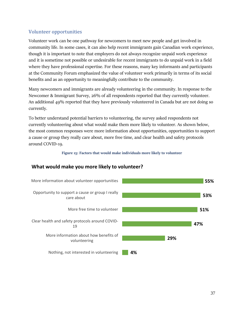### Volunteer opportunities

Volunteer work can be one pathway for newcomers to meet new people and get involved in community life. In some cases, it can also help recent immigrants gain Canadian work experience, though it is important to note that employers do not always recognize unpaid work experience and it is sometime not possible or undesirable for recent immigrants to do unpaid work in a field where they have professional expertise. For these reasons, many key informants and participants at the Community Forum emphasized the value of volunteer work primarily in terms of its social benefits and as an opportunity to meaningfully contribute to the community.

Many newcomers and immigrants are already volunteering in the community. In response to the Newcomer & Immigrant Survey, 26% of all respondents reported that they currently volunteer. An additional 49% reported that they have previously volunteered in Canada but are not doing so currently.

To better understand potential barriers to volunteering, the survey asked respondents not currently volunteering about what would make them more likely to volunteer. As shown below, the most common responses were more information about opportunities, opportunities to support a cause or group they really care about, more free time, and clear health and safety protocols around COVID-19.

#### **Figure 15: Factors that would make individuals more likely to volunteer**

### <span id="page-36-0"></span>**What would make you more likely to volunteer?**

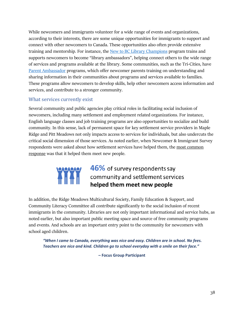While newcomers and immigrants volunteer for a wide range of events and organizations, according to their interests, there are some unique opportunities for immigrants to support and connect with other newcomers to Canada. These opportunities also often provide extensive training and mentorship. For instance, the [New to BC Library Champions](https://newtobc.ca/library-champions-project/) program trains and supports newcomers to become "library ambassadors", helping connect others to the wide range of services and programs available at the library. Some communities, such as the Tri-Cities, have [Parent Ambassador](https://www.westcoastfamily.org/earlyyears-tc) programs, which offer newcomer parents training on understanding and sharing information in their communities about programs and services available to families. These programs allow newcomers to develop skills, help other newcomers access information and services, and contribute to a stronger community.

#### What services currently exist

Several community and public agencies play critical roles in facilitating social inclusion of newcomers, including many settlement and employment related organizations. For instance, English language classes and job training programs are also opportunities to socialize and build community. In this sense, lack of permanent space for key settlement service providers in Maple Ridge and Pitt Meadows not only impacts access to services for individuals, but also undercuts the critical social dimension of those services. As noted earlier, when Newcomer & Immigrant Survey respondents were asked about how settlement services have helped them, the most common response was that it helped them meet new people.

# 46% of survey respondents say community and settlement services helped them meet new people

In addition, the Ridge Meadows Multicultural Society, Family Education & Support, and Community Literacy Committee all contribute significantly to the social inclusion of recent immigrants in the community. Libraries are not only important informational and service hubs, as noted earlier, but also important public meeting space and source of free community programs and events. And schools are an important entry point to the community for newcomers with school aged children.

*"When I came to Canada, everything was nice and easy. Children are in school. No fees. Teachers are nice and kind. Children go to school everyday with a smile on their face."*

**– Focus Group Participant**